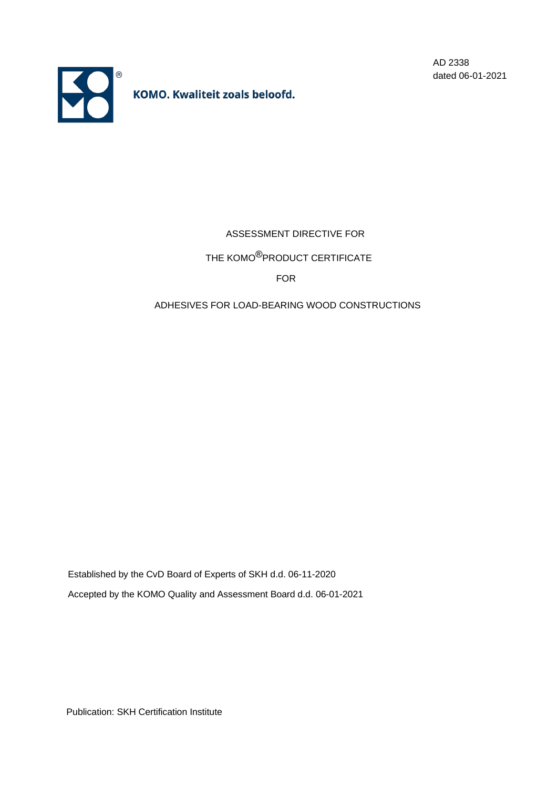

AD 2338 dated 06-01-2021

ASSESSMENT DIRECTIVE FOR

THE KOMO<sup>®</sup>PRODUCT CERTIFICATE

FOR

# ADHESIVES FOR LOAD-BEARING WOOD CONSTRUCTIONS

Established by the CvD Board of Experts of SKH d.d. 06-11-2020 Accepted by the KOMO Quality and Assessment Board d.d. 06-01-2021

Publication: SKH Certification Institute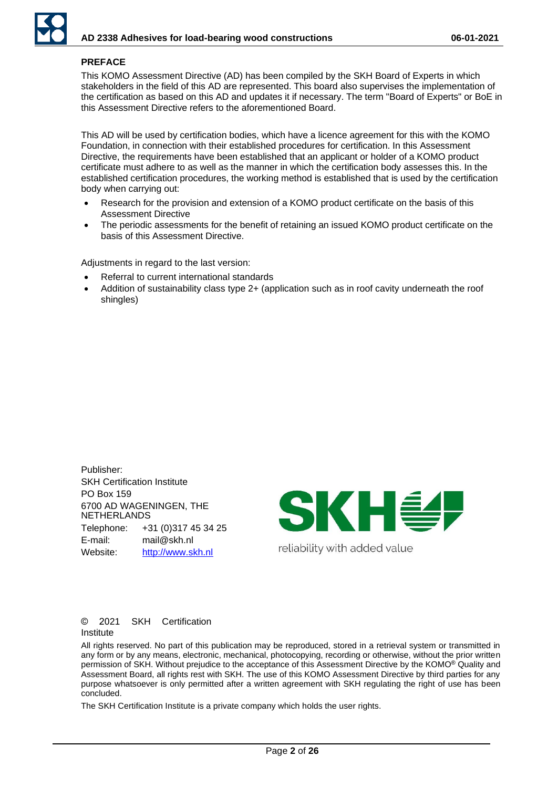# **PREFACE**

This KOMO Assessment Directive (AD) has been compiled by the SKH Board of Experts in which stakeholders in the field of this AD are represented. This board also supervises the implementation of the certification as based on this AD and updates it if necessary. The term "Board of Experts" or BoE in this Assessment Directive refers to the aforementioned Board.

This AD will be used by certification bodies, which have a licence agreement for this with the KOMO Foundation, in connection with their established procedures for certification. In this Assessment Directive, the requirements have been established that an applicant or holder of a KOMO product certificate must adhere to as well as the manner in which the certification body assesses this. In the established certification procedures, the working method is established that is used by the certification body when carrying out:

- Research for the provision and extension of a KOMO product certificate on the basis of this Assessment Directive
- The periodic assessments for the benefit of retaining an issued KOMO product certificate on the basis of this Assessment Directive.

Adjustments in regard to the last version:

- Referral to current international standards
- Addition of sustainability class type 2+ (application such as in roof cavity underneath the roof shingles)

Publisher: SKH Certification Institute PO Box 159 6700 AD WAGENINGEN, THE NETHERLANDS Telephone: +31 (0)317 45 34 25 E-mail: mail@skh.nl Website: [http://www.skh.nl](http://www.skh.nl/)



#### © 2021 SKH Certification Institute

All rights reserved. No part of this publication may be reproduced, stored in a retrieval system or transmitted in any form or by any means, electronic, mechanical, photocopying, recording or otherwise, without the prior written permission of SKH. Without prejudice to the acceptance of this Assessment Directive by the KOMO® Quality and Assessment Board, all rights rest with SKH. The use of this KOMO Assessment Directive by third parties for any purpose whatsoever is only permitted after a written agreement with SKH regulating the right of use has been concluded.

The SKH Certification Institute is a private company which holds the user rights.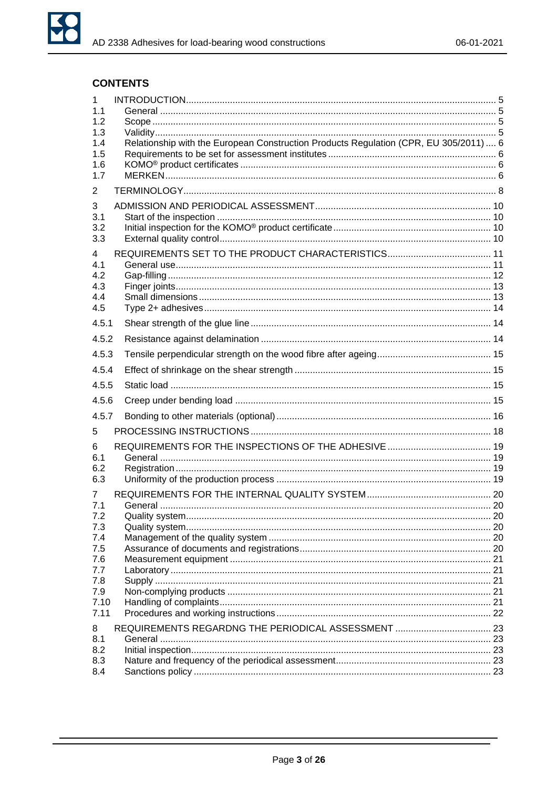

# **CONTENTS**

| 1<br>1.1   |                                                                                       |  |
|------------|---------------------------------------------------------------------------------------|--|
| 1.2        |                                                                                       |  |
| 1.3        |                                                                                       |  |
| 1.4        | Relationship with the European Construction Products Regulation (CPR, EU 305/2011)  6 |  |
| 1.5<br>1.6 |                                                                                       |  |
| 1.7        |                                                                                       |  |
| 2          |                                                                                       |  |
| 3          |                                                                                       |  |
| 3.1        |                                                                                       |  |
| 3.2        |                                                                                       |  |
| 3.3        |                                                                                       |  |
| 4          |                                                                                       |  |
| 4.1        |                                                                                       |  |
| 4.2<br>4.3 |                                                                                       |  |
| 4.4        |                                                                                       |  |
| 4.5        |                                                                                       |  |
| 4.5.1      |                                                                                       |  |
| 4.5.2      |                                                                                       |  |
| 4.5.3      |                                                                                       |  |
| 4.5.4      |                                                                                       |  |
| 4.5.5      |                                                                                       |  |
| 4.5.6      |                                                                                       |  |
| 4.5.7      |                                                                                       |  |
| 5          |                                                                                       |  |
| 6          |                                                                                       |  |
| 6.1        |                                                                                       |  |
| 6.2<br>6.3 |                                                                                       |  |
|            |                                                                                       |  |
| 7<br>7.1   |                                                                                       |  |
| 7.2        |                                                                                       |  |
| 7.3        |                                                                                       |  |
| 7.4        |                                                                                       |  |
| 7.5        |                                                                                       |  |
| 7.6        |                                                                                       |  |
| 7.7<br>7.8 |                                                                                       |  |
| 7.9        |                                                                                       |  |
| 7.10       |                                                                                       |  |
| 7.11       |                                                                                       |  |
| 8          |                                                                                       |  |
| 8.1        |                                                                                       |  |
| 8.2        |                                                                                       |  |
| 8.3        |                                                                                       |  |
| 8.4        |                                                                                       |  |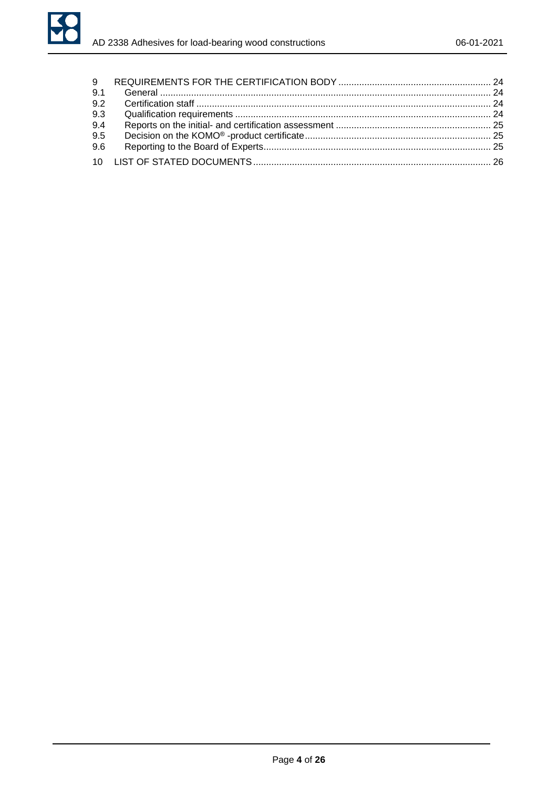

| 9.1 |  |
|-----|--|
| 9.2 |  |
| 9.3 |  |
| 9.4 |  |
| 9.5 |  |
| 9.6 |  |
|     |  |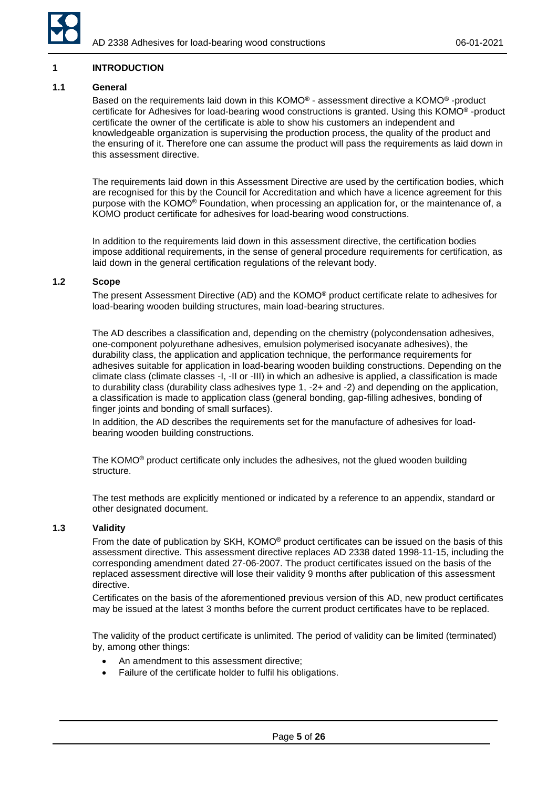

### <span id="page-4-0"></span>**1 INTRODUCTION**

#### <span id="page-4-1"></span>**1.1 General**

Based on the requirements laid down in this KOMO® - assessment directive a KOMO® -product certificate for Adhesives for load-bearing wood constructions is granted. Using this KOMO® -product certificate the owner of the certificate is able to show his customers an independent and knowledgeable organization is supervising the production process, the quality of the product and the ensuring of it. Therefore one can assume the product will pass the requirements as laid down in this assessment directive.

The requirements laid down in this Assessment Directive are used by the certification bodies, which are recognised for this by the Council for Accreditation and which have a licence agreement for this purpose with the KOMO® Foundation, when processing an application for, or the maintenance of, a KOMO product certificate for adhesives for load-bearing wood constructions.

In addition to the requirements laid down in this assessment directive, the certification bodies impose additional requirements, in the sense of general procedure requirements for certification, as laid down in the general certification regulations of the relevant body.

#### <span id="page-4-2"></span>**1.2 Scope**

The present Assessment Directive (AD) and the KOMO® product certificate relate to adhesives for load-bearing wooden building structures, main load-bearing structures.

The AD describes a classification and, depending on the chemistry (polycondensation adhesives, one-component polyurethane adhesives, emulsion polymerised isocyanate adhesives), the durability class, the application and application technique, the performance requirements for adhesives suitable for application in load-bearing wooden building constructions. Depending on the climate class (climate classes -I, -II or -III) in which an adhesive is applied, a classification is made to durability class (durability class adhesives type 1, -2+ and -2) and depending on the application, a classification is made to application class (general bonding, gap-filling adhesives, bonding of finger joints and bonding of small surfaces).

In addition, the AD describes the requirements set for the manufacture of adhesives for loadbearing wooden building constructions.

The KOMO® product certificate only includes the adhesives, not the glued wooden building structure.

The test methods are explicitly mentioned or indicated by a reference to an appendix, standard or other designated document.

#### <span id="page-4-3"></span>**1.3 Validity**

From the date of publication by SKH, KOMO® product certificates can be issued on the basis of this assessment directive. This assessment directive replaces AD 2338 dated 1998-11-15, including the corresponding amendment dated 27-06-2007. The product certificates issued on the basis of the replaced assessment directive will lose their validity 9 months after publication of this assessment directive.

Certificates on the basis of the aforementioned previous version of this AD, new product certificates may be issued at the latest 3 months before the current product certificates have to be replaced.

The validity of the product certificate is unlimited. The period of validity can be limited (terminated) by, among other things:

- An amendment to this assessment directive;
- Failure of the certificate holder to fulfil his obligations.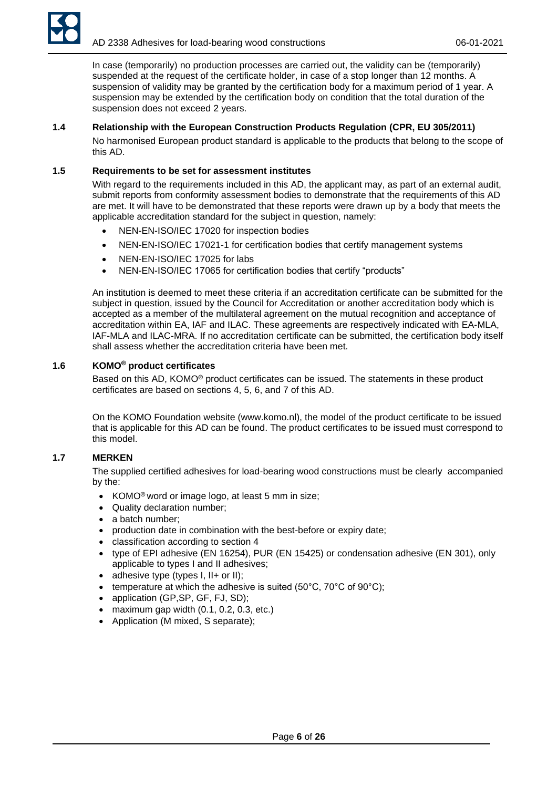

In case (temporarily) no production processes are carried out, the validity can be (temporarily) suspended at the request of the certificate holder, in case of a stop longer than 12 months. A suspension of validity may be granted by the certification body for a maximum period of 1 year. A suspension may be extended by the certification body on condition that the total duration of the suspension does not exceed 2 years.

# <span id="page-5-0"></span>**1.4 Relationship with the European Construction Products Regulation (CPR, EU 305/2011)**

No harmonised European product standard is applicable to the products that belong to the scope of this AD.

### <span id="page-5-1"></span>**1.5 Requirements to be set for assessment institutes**

With regard to the requirements included in this AD, the applicant may, as part of an external audit, submit reports from conformity assessment bodies to demonstrate that the requirements of this AD are met. It will have to be demonstrated that these reports were drawn up by a body that meets the applicable accreditation standard for the subject in question, namely:

- NEN-EN-ISO/IEC 17020 for inspection bodies
- NEN-EN-ISO/IEC 17021-1 for certification bodies that certify management systems
- NEN-EN-ISO/IEC 17025 for labs
- NEN-EN-ISO/IEC 17065 for certification bodies that certify "products"

An institution is deemed to meet these criteria if an accreditation certificate can be submitted for the subject in question, issued by the Council for Accreditation or another accreditation body which is accepted as a member of the multilateral agreement on the mutual recognition and acceptance of accreditation within EA, IAF and ILAC. These agreements are respectively indicated with EA-MLA, IAF-MLA and ILAC-MRA. If no accreditation certificate can be submitted, the certification body itself shall assess whether the accreditation criteria have been met.

# <span id="page-5-2"></span>**1.6 KOMO® product certificates**

Based on this AD, KOMO® product certificates can be issued. The statements in these product certificates are based on sections 4, 5, 6, and 7 of this AD.

On the KOMO Foundation website (www.komo.nl), the model of the product certificate to be issued that is applicable for this AD can be found. The product certificates to be issued must correspond to this model.

# <span id="page-5-3"></span>**1.7 MERKEN**

The supplied certified adhesives for load-bearing wood constructions must be clearly accompanied by the:

- KOMO<sup>®</sup> word or image logo, at least 5 mm in size;
- Quality declaration number;
- a batch number:
- production date in combination with the best-before or expiry date;
- classification according to section 4
- type of EPI adhesive (EN 16254), PUR (EN 15425) or condensation adhesive (EN 301), only applicable to types I and II adhesives;
- adhesive type (types I, II+ or II);
- temperature at which the adhesive is suited (50 $^{\circ}$ C, 70 $^{\circ}$ C of 90 $^{\circ}$ C);
- application (GP,SP, GF, FJ, SD);
- maximum gap width  $(0.1, 0.2, 0.3, \text{ etc.})$
- Application (M mixed, S separate);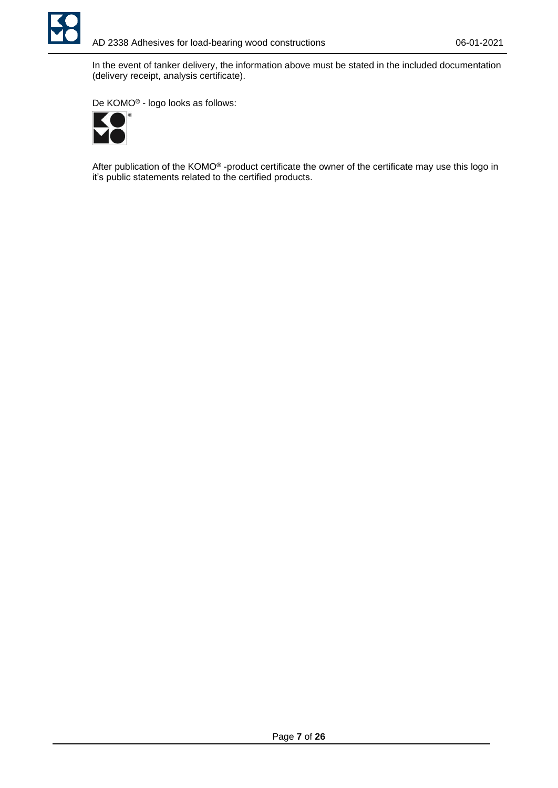

In the event of tanker delivery, the information above must be stated in the included documentation (delivery receipt, analysis certificate).

De KOMO® - logo looks as follows:



After publication of the KOMO® -product certificate the owner of the certificate may use this logo in it's public statements related to the certified products.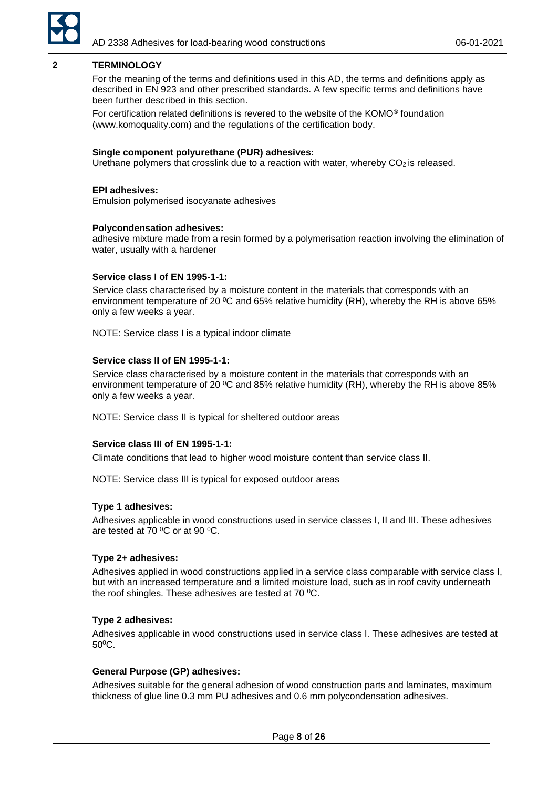

# <span id="page-7-0"></span>**2 TERMINOLOGY**

For the meaning of the terms and definitions used in this AD, the terms and definitions apply as described in EN 923 and other prescribed standards. A few specific terms and definitions have been further described in this section.

For certification related definitions is revered to the website of the KOMO® foundation [\(www.komoquality.com\)](http://www.komoquality.com/) and the regulations of the certification body.

#### **Single component polyurethane (PUR) adhesives:**

Urethane polymers that crosslink due to a reaction with water, whereby  $CO<sub>2</sub>$  is released.

#### **EPI adhesives:**

Emulsion polymerised isocyanate adhesives

#### **Polycondensation adhesives:**

adhesive mixture made from a resin formed by a polymerisation reaction involving the elimination of water, usually with a hardener

#### **Service class I of EN 1995-1-1:**

Service class characterised by a moisture content in the materials that corresponds with an environment temperature of 20  $\rm{^{\circ}C}$  and 65% relative humidity (RH), whereby the RH is above 65% only a few weeks a year.

NOTE: Service class I is a typical indoor climate

#### **Service class II of EN 1995-1-1:**

Service class characterised by a moisture content in the materials that corresponds with an environment temperature of 20  $\mathrm{^0C}$  and 85% relative humidity (RH), whereby the RH is above 85% only a few weeks a year.

NOTE: Service class II is typical for sheltered outdoor areas

### **Service class III of EN 1995-1-1:**

Climate conditions that lead to higher wood moisture content than service class II.

NOTE: Service class III is typical for exposed outdoor areas

#### **Type 1 adhesives:**

Adhesives applicable in wood constructions used in service classes I, II and III. These adhesives are tested at 70 $\,^{\circ}$ C or at 90 $\,^{\circ}$ C.

#### **Type 2+ adhesives:**

Adhesives applied in wood constructions applied in a service class comparable with service class I, but with an increased temperature and a limited moisture load, such as in roof cavity underneath the roof shingles. These adhesives are tested at 70  $^{\circ}$ C.

### **Type 2 adhesives:**

Adhesives applicable in wood constructions used in service class I. These adhesives are tested at 50<sup>0</sup>C.

# **General Purpose (GP) adhesives:**

Adhesives suitable for the general adhesion of wood construction parts and laminates, maximum thickness of glue line 0.3 mm PU adhesives and 0.6 mm polycondensation adhesives.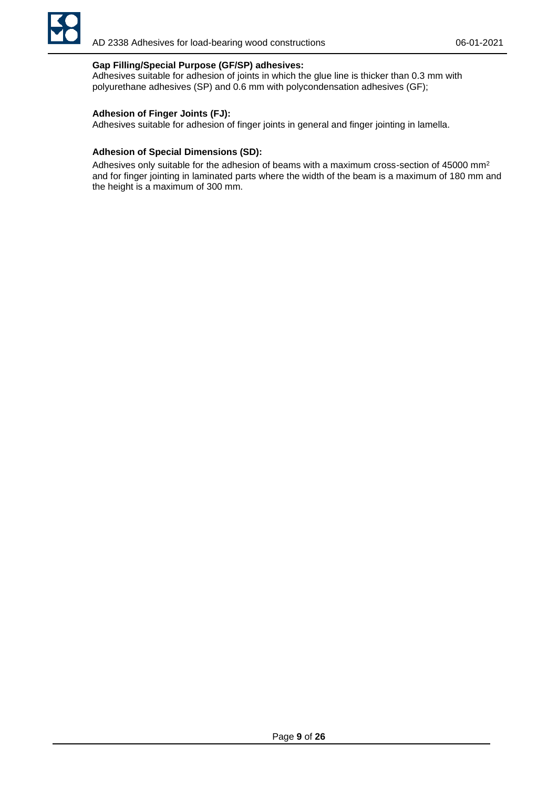

# **Gap Filling/Special Purpose (GF/SP) adhesives:**

Adhesives suitable for adhesion of joints in which the glue line is thicker than 0.3 mm with polyurethane adhesives (SP) and 0.6 mm with polycondensation adhesives (GF);

# **Adhesion of Finger Joints (FJ):**

Adhesives suitable for adhesion of finger joints in general and finger jointing in lamella.

### **Adhesion of Special Dimensions (SD):**

Adhesives only suitable for the adhesion of beams with a maximum cross-section of 45000 mm<sup>2</sup> and for finger jointing in laminated parts where the width of the beam is a maximum of 180 mm and the height is a maximum of 300 mm.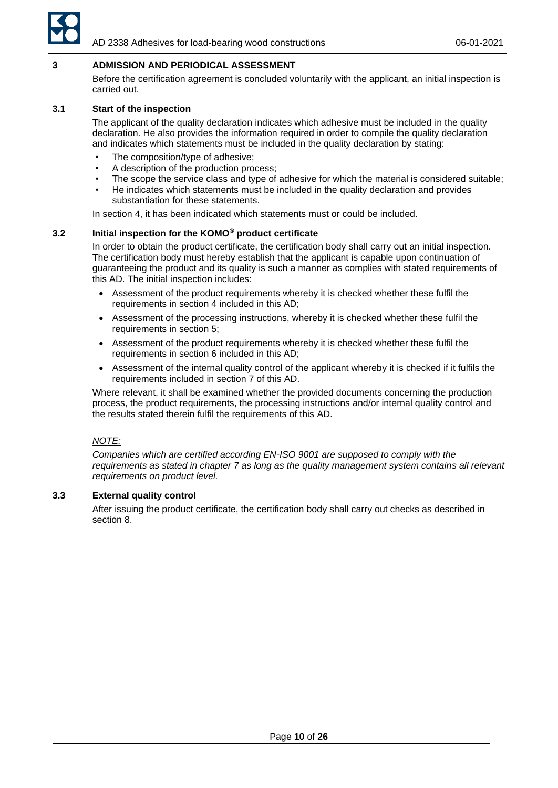

# <span id="page-9-0"></span>**3 ADMISSION AND PERIODICAL ASSESSMENT**

Before the certification agreement is concluded voluntarily with the applicant, an initial inspection is carried out.

# <span id="page-9-1"></span>**3.1 Start of the inspection**

The applicant of the quality declaration indicates which adhesive must be included in the quality declaration. He also provides the information required in order to compile the quality declaration and indicates which statements must be included in the quality declaration by stating:

- The composition/type of adhesive;
- A description of the production process;
- The scope the service class and type of adhesive for which the material is considered suitable;
- He indicates which statements must be included in the quality declaration and provides substantiation for these statements.

In section 4, it has been indicated which statements must or could be included.

# <span id="page-9-2"></span>**3.2 Initial inspection for the KOMO® product certificate**

In order to obtain the product certificate, the certification body shall carry out an initial inspection. The certification body must hereby establish that the applicant is capable upon continuation of guaranteeing the product and its quality is such a manner as complies with stated requirements of this AD. The initial inspection includes:

- Assessment of the product requirements whereby it is checked whether these fulfil the requirements in section 4 included in this AD;
- Assessment of the processing instructions, whereby it is checked whether these fulfil the requirements in section 5;
- Assessment of the product requirements whereby it is checked whether these fulfil the requirements in section 6 included in this AD;
- Assessment of the internal quality control of the applicant whereby it is checked if it fulfils the requirements included in section 7 of this AD.

Where relevant, it shall be examined whether the provided documents concerning the production process, the product requirements, the processing instructions and/or internal quality control and the results stated therein fulfil the requirements of this AD.

#### *NOTE:*

*Companies which are certified according EN-ISO 9001 are supposed to comply with the*  requirements as stated in chapter 7 as long as the quality management system contains all relevant *requirements on product level.* 

### <span id="page-9-3"></span>**3.3 External quality control**

After issuing the product certificate, the certification body shall carry out checks as described in section 8.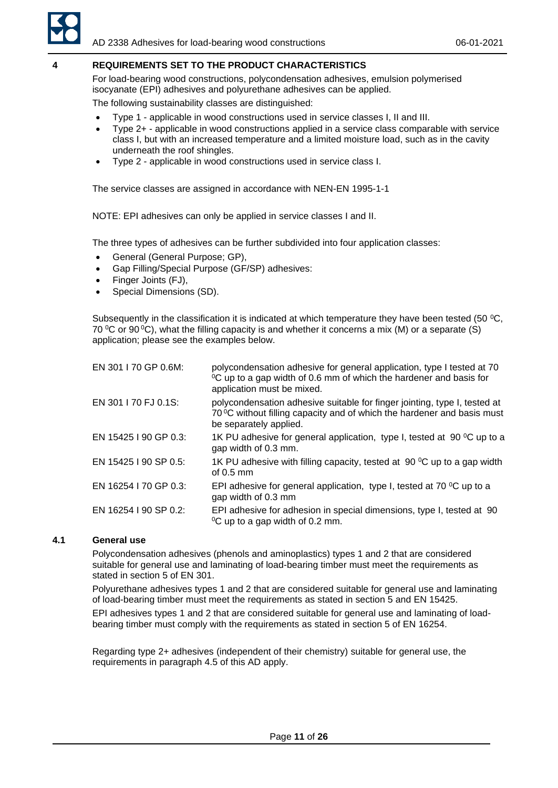

# <span id="page-10-0"></span>**4 REQUIREMENTS SET TO THE PRODUCT CHARACTERISTICS**

For load-bearing wood constructions, polycondensation adhesives, emulsion polymerised isocyanate (EPI) adhesives and polyurethane adhesives can be applied.

The following sustainability classes are distinguished:

- Type 1 applicable in wood constructions used in service classes I, II and III.
- Type 2+ applicable in wood constructions applied in a service class comparable with service class I, but with an increased temperature and a limited moisture load, such as in the cavity underneath the roof shingles.
- Type 2 applicable in wood constructions used in service class I.

The service classes are assigned in accordance with NEN-EN 1995-1-1

NOTE: EPI adhesives can only be applied in service classes I and II.

The three types of adhesives can be further subdivided into four application classes:

- General (General Purpose; GP),
- Gap Filling/Special Purpose (GF/SP) adhesives:
- Finger Joints (FJ),
- Special Dimensions (SD).

Subsequently in the classification it is indicated at which temperature they have been tested (50 °C, 70  $\degree$ C or 90  $\degree$ C), what the filling capacity is and whether it concerns a mix (M) or a separate (S) application; please see the examples below.

| EN 301   70 GP 0.6M:  | polycondensation adhesive for general application, type I tested at 70<br><sup>o</sup> C up to a gap width of 0.6 mm of which the hardener and basis for<br>application must be mixed. |
|-----------------------|----------------------------------------------------------------------------------------------------------------------------------------------------------------------------------------|
| EN 301   70 FJ 0.1S:  | polycondensation adhesive suitable for finger jointing, type I, tested at<br>70 °C without filling capacity and of which the hardener and basis must<br>be separately applied.         |
| EN 15425   90 GP 0.3: | 1K PU adhesive for general application, type I, tested at 90 $\mathrm{^0C}$ up to a<br>gap width of 0.3 mm.                                                                            |
| EN 15425   90 SP 0.5: | 1K PU adhesive with filling capacity, tested at 90 $\mathrm{^0C}$ up to a gap width<br>of $0.5 \text{ mm}$                                                                             |
| EN 16254   70 GP 0.3: | EPI adhesive for general application, type I, tested at 70 $\mathrm{^0C}$ up to a<br>gap width of 0.3 mm                                                                               |
| EN 16254   90 SP 0.2: | EPI adhesive for adhesion in special dimensions, type I, tested at 90<br>$\mathrm{^{0}C}$ up to a gap width of 0.2 mm.                                                                 |

# <span id="page-10-1"></span>**4.1 General use**

Polycondensation adhesives (phenols and aminoplastics) types 1 and 2 that are considered suitable for general use and laminating of load-bearing timber must meet the requirements as stated in section 5 of EN 301.

Polyurethane adhesives types 1 and 2 that are considered suitable for general use and laminating of load-bearing timber must meet the requirements as stated in section 5 and EN 15425.

EPI adhesives types 1 and 2 that are considered suitable for general use and laminating of loadbearing timber must comply with the requirements as stated in section 5 of EN 16254.

Regarding type 2+ adhesives (independent of their chemistry) suitable for general use, the requirements in paragraph 4.5 of this AD apply.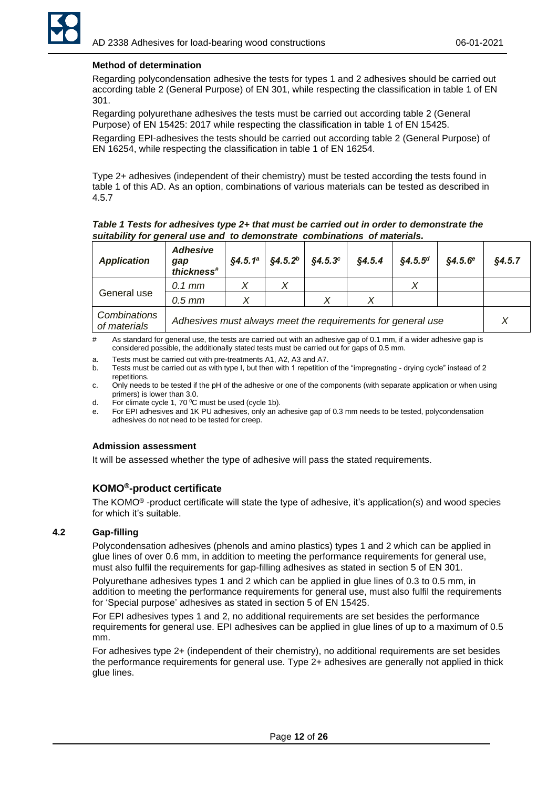

# **Method of determination**

Regarding polycondensation adhesive the tests for types 1 and 2 adhesives should be carried out according table 2 (General Purpose) of EN 301, while respecting the classification in table 1 of EN 301.

Regarding polyurethane adhesives the tests must be carried out according table 2 (General Purpose) of EN 15425: 2017 while respecting the classification in table 1 of EN 15425.

Regarding EPI-adhesives the tests should be carried out according table 2 (General Purpose) of EN 16254, while respecting the classification in table 1 of EN 16254.

Type 2+ adhesives (independent of their chemistry) must be tested according the tests found in table 1 of this AD. As an option, combinations of various materials can be tested as described in 4.5.7

*Table 1 Tests for adhesives type 2+ that must be carried out in order to demonstrate the suitability for general use and to demonstrate combinations of materials.*

| <b>Application</b>                                                                          | <b>Adhesive</b><br>gap<br>thickness <sup>#</sup> | §4.5.1 <sup>a</sup> | \$4.5.2 <sup>b</sup> | \$4.5.3 <sup>c</sup> | \$4.5.4 | $$4.5.5^{d}$ | $$4.5.6^{\circ}$$ | §4.5.7 |
|---------------------------------------------------------------------------------------------|--------------------------------------------------|---------------------|----------------------|----------------------|---------|--------------|-------------------|--------|
|                                                                                             | $0.1$ mm                                         |                     |                      |                      |         |              |                   |        |
| General use                                                                                 | $0.5$ mm                                         |                     |                      |                      |         |              |                   |        |
| Combinations<br>Adhesives must always meet the requirements for general use<br>of materials |                                                  |                     | X                    |                      |         |              |                   |        |

# As standard for general use, the tests are carried out with an adhesive gap of 0.1 mm, if a wider adhesive gap is considered possible, the additionally stated tests must be carried out for gaps of 0.5 mm.

- a. Tests must be carried out with pre-treatments A1, A2, A3 and A7.
- b. Tests must be carried out as with type I, but then with 1 repetition of the "impregnating drying cycle" instead of 2 repetitions.
- c. Only needs to be tested if the pH of the adhesive or one of the components (with separate application or when using primers) is lower than 3.0.
- d. For climate cycle 1, 70  $^{\circ}$ C must be used (cycle 1b).
- e. For EPI adhesives and 1K PU adhesives, only an adhesive gap of 0.3 mm needs to be tested, polycondensation adhesives do not need to be tested for creep.

#### **Admission assessment**

It will be assessed whether the type of adhesive will pass the stated requirements.

# **KOMO® -product certificate**

The KOMO® -product certificate will state the type of adhesive, it's application(s) and wood species for which it's suitable.

### <span id="page-11-0"></span>**4.2 Gap-filling**

Polycondensation adhesives (phenols and amino plastics) types 1 and 2 which can be applied in glue lines of over 0.6 mm, in addition to meeting the performance requirements for general use, must also fulfil the requirements for gap-filling adhesives as stated in section 5 of EN 301.

Polyurethane adhesives types 1 and 2 which can be applied in glue lines of 0.3 to 0.5 mm, in addition to meeting the performance requirements for general use, must also fulfil the requirements for 'Special purpose' adhesives as stated in section 5 of EN 15425.

For EPI adhesives types 1 and 2, no additional requirements are set besides the performance requirements for general use. EPI adhesives can be applied in glue lines of up to a maximum of 0.5 mm.

For adhesives type 2+ (independent of their chemistry), no additional requirements are set besides the performance requirements for general use. Type 2+ adhesives are generally not applied in thick glue lines.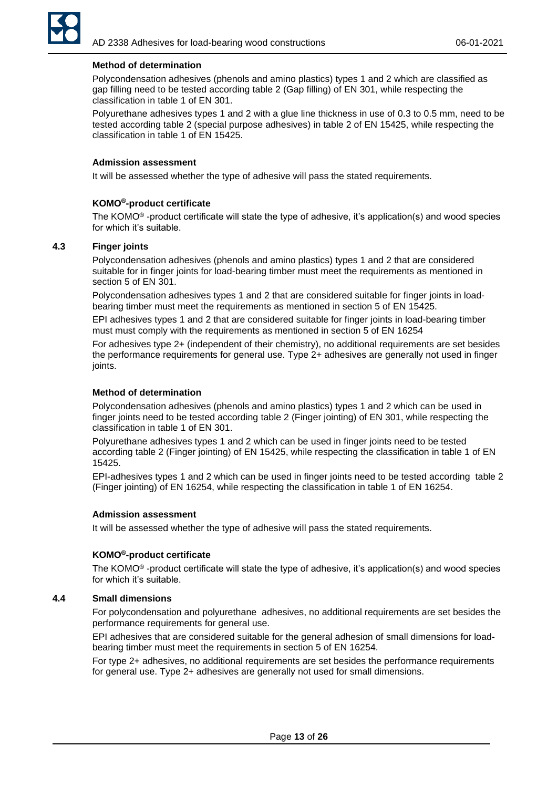

### **Method of determination**

Polycondensation adhesives (phenols and amino plastics) types 1 and 2 which are classified as gap filling need to be tested according table 2 (Gap filling) of EN 301, while respecting the classification in table 1 of EN 301.

Polyurethane adhesives types 1 and 2 with a glue line thickness in use of 0.3 to 0.5 mm, need to be tested according table 2 (special purpose adhesives) in table 2 of EN 15425, while respecting the classification in table 1 of EN 15425.

### **Admission assessment**

It will be assessed whether the type of adhesive will pass the stated requirements.

#### **KOMO®-product certificate**

The KOMO® -product certificate will state the type of adhesive, it's application(s) and wood species for which it's suitable.

### <span id="page-12-0"></span>**4.3 Finger joints**

Polycondensation adhesives (phenols and amino plastics) types 1 and 2 that are considered suitable for in finger joints for load-bearing timber must meet the requirements as mentioned in section 5 of EN 301.

Polycondensation adhesives types 1 and 2 that are considered suitable for finger joints in loadbearing timber must meet the requirements as mentioned in section 5 of EN 15425.

EPI adhesives types 1 and 2 that are considered suitable for finger joints in load-bearing timber must must comply with the requirements as mentioned in section 5 of EN 16254

For adhesives type 2+ (independent of their chemistry), no additional requirements are set besides the performance requirements for general use. Type 2+ adhesives are generally not used in finger joints.

### **Method of determination**

Polycondensation adhesives (phenols and amino plastics) types 1 and 2 which can be used in finger joints need to be tested according table 2 (Finger jointing) of EN 301, while respecting the classification in table 1 of EN 301.

Polyurethane adhesives types 1 and 2 which can be used in finger joints need to be tested according table 2 (Finger jointing) of EN 15425, while respecting the classification in table 1 of EN 15425.

EPI-adhesives types 1 and 2 which can be used in finger joints need to be tested according table 2 (Finger jointing) of EN 16254, while respecting the classification in table 1 of EN 16254.

#### **Admission assessment**

It will be assessed whether the type of adhesive will pass the stated requirements.

# **KOMO®-product certificate**

The KOMO® -product certificate will state the type of adhesive, it's application(s) and wood species for which it's suitable.

### <span id="page-12-1"></span>**4.4 Small dimensions**

For polycondensation and polyurethane adhesives, no additional requirements are set besides the performance requirements for general use.

EPI adhesives that are considered suitable for the general adhesion of small dimensions for loadbearing timber must meet the requirements in section 5 of EN 16254.

For type 2+ adhesives, no additional requirements are set besides the performance requirements for general use. Type 2+ adhesives are generally not used for small dimensions.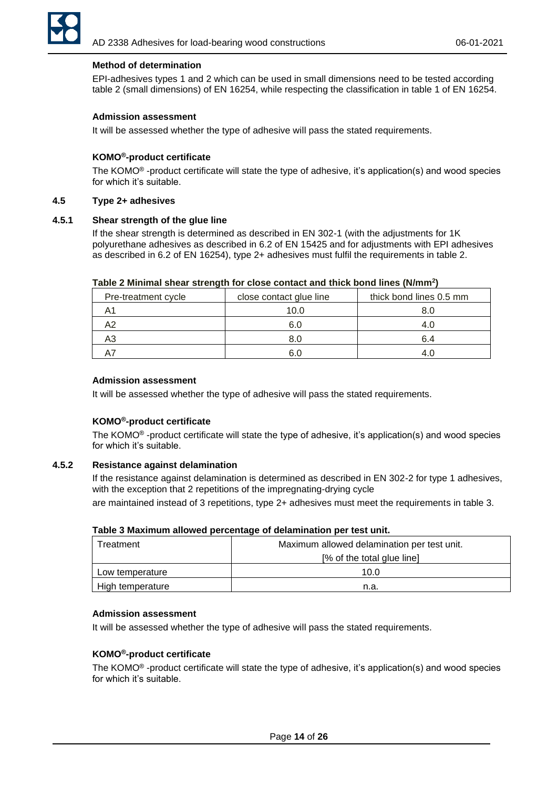

# **Method of determination**

EPI-adhesives types 1 and 2 which can be used in small dimensions need to be tested according table 2 (small dimensions) of EN 16254, while respecting the classification in table 1 of EN 16254.

#### **Admission assessment**

It will be assessed whether the type of adhesive will pass the stated requirements.

### **KOMO®-product certificate**

The KOMO® -product certificate will state the type of adhesive, it's application(s) and wood species for which it's suitable.

### <span id="page-13-0"></span>**4.5 Type 2+ adhesives**

### <span id="page-13-1"></span>**4.5.1 Shear strength of the glue line**

If the shear strength is determined as described in EN 302-1 (with the adjustments for 1K polyurethane adhesives as described in 6.2 of EN 15425 and for adjustments with EPI adhesives as described in 6.2 of EN 16254), type 2+ adhesives must fulfil the requirements in table 2.

| Table 2 Minimal shear strength for close contact and thick bond lines (N/mm <sup>2</sup> ) |  |  |
|--------------------------------------------------------------------------------------------|--|--|
|--------------------------------------------------------------------------------------------|--|--|

| Pre-treatment cycle | close contact glue line | thick bond lines 0.5 mm |  |
|---------------------|-------------------------|-------------------------|--|
|                     | 10.0                    | 8.C                     |  |
|                     | 6.0                     |                         |  |
|                     | 8.0                     | 6.4                     |  |
|                     |                         |                         |  |

#### **Admission assessment**

It will be assessed whether the type of adhesive will pass the stated requirements.

#### **KOMO®-product certificate**

The KOMO® -product certificate will state the type of adhesive, it's application(s) and wood species for which it's suitable.

#### <span id="page-13-2"></span>**4.5.2 Resistance against delamination**

If the resistance against delamination is determined as described in EN 302-2 for type 1 adhesives, with the exception that 2 repetitions of the impregnating-drying cycle

are maintained instead of 3 repetitions, type 2+ adhesives must meet the requirements in table 3.

| Treatment        | Maximum allowed delamination per test unit. |  |
|------------------|---------------------------------------------|--|
|                  | [% of the total glue line]                  |  |
| Low temperature  | 10.0                                        |  |
| High temperature | n.a.                                        |  |

#### **Admission assessment**

It will be assessed whether the type of adhesive will pass the stated requirements.

### **KOMO®-product certificate**

The KOMO® -product certificate will state the type of adhesive, it's application(s) and wood species for which it's suitable.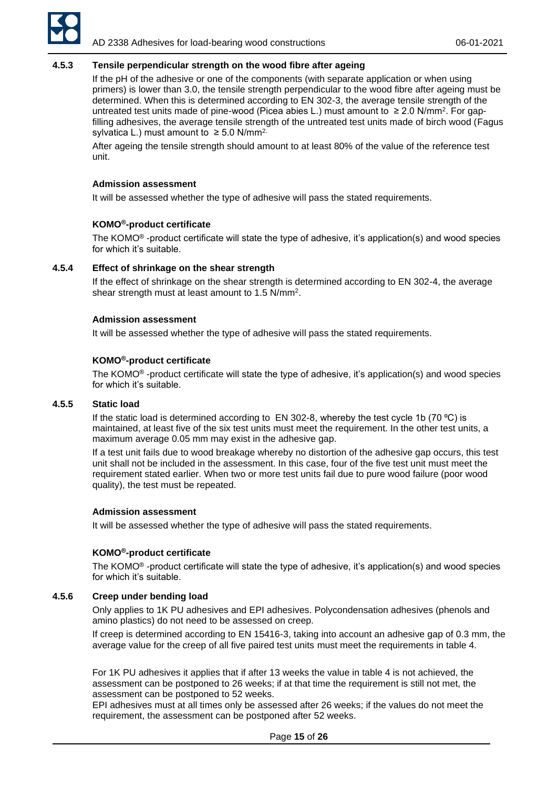

### <span id="page-14-0"></span>**4.5.3 Tensile perpendicular strength on the wood fibre after ageing**

If the pH of the adhesive or one of the components (with separate application or when using primers) is lower than 3.0, the tensile strength perpendicular to the wood fibre after ageing must be determined. When this is determined according to EN 302-3, the average tensile strength of the untreated test units made of pine-wood (Picea abies L.) must amount to  $≥$  2.0 N/mm<sup>2</sup>. For gapfilling adhesives, the average tensile strength of the untreated test units made of birch wood (Fagus sylvatica L.) must amount to  $\geq$  5.0 N/mm<sup>2.</sup>

After ageing the tensile strength should amount to at least 80% of the value of the reference test unit.

#### **Admission assessment**

It will be assessed whether the type of adhesive will pass the stated requirements.

#### **KOMO®-product certificate**

The KOMO® -product certificate will state the type of adhesive, it's application(s) and wood species for which it's suitable.

### <span id="page-14-1"></span>**4.5.4 Effect of shrinkage on the shear strength**

If the effect of shrinkage on the shear strength is determined according to EN 302-4, the average shear strength must at least amount to 1.5 N/mm<sup>2</sup> .

#### **Admission assessment**

It will be assessed whether the type of adhesive will pass the stated requirements.

#### **KOMO®-product certificate**

The KOMO® -product certificate will state the type of adhesive, it's application(s) and wood species for which it's suitable.

# <span id="page-14-2"></span>**4.5.5 Static load**

If the static load is determined according to EN 302-8, whereby the test cycle 1b (70  $^{\circ}$ C) is maintained, at least five of the six test units must meet the requirement. In the other test units, a maximum average 0.05 mm may exist in the adhesive gap.

If a test unit fails due to wood breakage whereby no distortion of the adhesive gap occurs, this test unit shall not be included in the assessment. In this case, four of the five test unit must meet the requirement stated earlier. When two or more test units fail due to pure wood failure (poor wood quality), the test must be repeated.

#### **Admission assessment**

It will be assessed whether the type of adhesive will pass the stated requirements.

#### **KOMO®-product certificate**

The KOMO® -product certificate will state the type of adhesive, it's application(s) and wood species for which it's suitable.

### <span id="page-14-3"></span>**4.5.6 Creep under bending load**

Only applies to 1K PU adhesives and EPI adhesives. Polycondensation adhesives (phenols and amino plastics) do not need to be assessed on creep.

If creep is determined according to EN 15416-3, taking into account an adhesive gap of 0.3 mm, the average value for the creep of all five paired test units must meet the requirements in table 4.

For 1K PU adhesives it applies that if after 13 weeks the value in table 4 is not achieved, the assessment can be postponed to 26 weeks; if at that time the requirement is still not met, the assessment can be postponed to 52 weeks.

EPI adhesives must at all times only be assessed after 26 weeks; if the values do not meet the requirement, the assessment can be postponed after 52 weeks.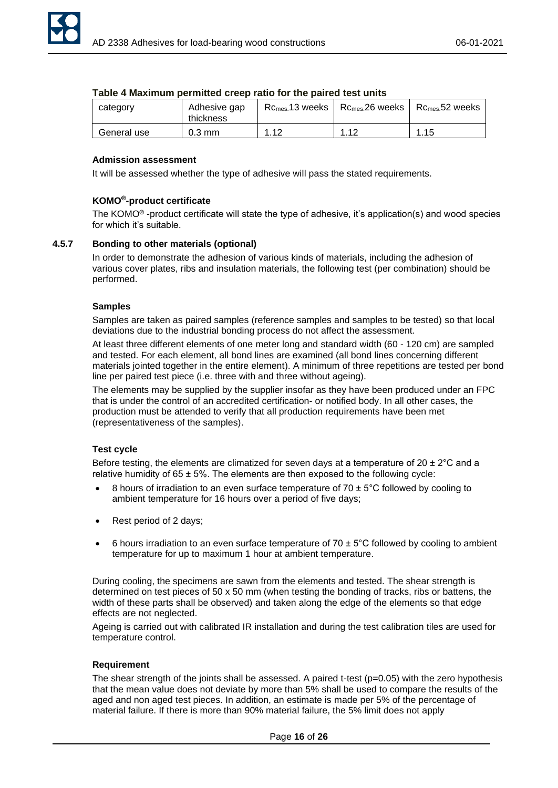| category    | Adhesive gap<br>thickness | $R_{\text{Cmes.}}$ 13 weeks $\parallel$ | $R_{\text{Cmes.}}$ 26 weeks | $\rm\,Rcm$ es. $52$ weeks |
|-------------|---------------------------|-----------------------------------------|-----------------------------|---------------------------|
| General use | $0.3 \text{ mm}$          | 1.12                                    | 1つ                          | 1.15                      |

# **Table 4 Maximum permitted creep ratio for the paired test units**

# **Admission assessment**

It will be assessed whether the type of adhesive will pass the stated requirements.

# **KOMO®-product certificate**

The KOMO® -product certificate will state the type of adhesive, it's application(s) and wood species for which it's suitable.

# <span id="page-15-0"></span>**4.5.7 Bonding to other materials (optional)**

In order to demonstrate the adhesion of various kinds of materials, including the adhesion of various cover plates, ribs and insulation materials, the following test (per combination) should be performed.

# **Samples**

Samples are taken as paired samples (reference samples and samples to be tested) so that local deviations due to the industrial bonding process do not affect the assessment.

At least three different elements of one meter long and standard width (60 - 120 cm) are sampled and tested. For each element, all bond lines are examined (all bond lines concerning different materials jointed together in the entire element). A minimum of three repetitions are tested per bond line per paired test piece (i.e. three with and three without ageing).

The elements may be supplied by the supplier insofar as they have been produced under an FPC that is under the control of an accredited certification- or notified body. In all other cases, the production must be attended to verify that all production requirements have been met (representativeness of the samples).

# **Test cycle**

Before testing, the elements are climatized for seven days at a temperature of 20  $\pm$  2°C and a relative humidity of  $65 \pm 5\%$ . The elements are then exposed to the following cycle:

- 8 hours of irradiation to an even surface temperature of  $70 \pm 5^{\circ}$ C followed by cooling to ambient temperature for 16 hours over a period of five days;
- Rest period of 2 days;
- 6 hours irradiation to an even surface temperature of 70  $\pm$  5°C followed by cooling to ambient temperature for up to maximum 1 hour at ambient temperature.

During cooling, the specimens are sawn from the elements and tested. The shear strength is determined on test pieces of 50 x 50 mm (when testing the bonding of tracks, ribs or battens, the width of these parts shall be observed) and taken along the edge of the elements so that edge effects are not neglected.

Ageing is carried out with calibrated IR installation and during the test calibration tiles are used for temperature control.

# **Requirement**

The shear strength of the joints shall be assessed. A paired t-test (p=0.05) with the zero hypothesis that the mean value does not deviate by more than 5% shall be used to compare the results of the aged and non aged test pieces. In addition, an estimate is made per 5% of the percentage of material failure. If there is more than 90% material failure, the 5% limit does not apply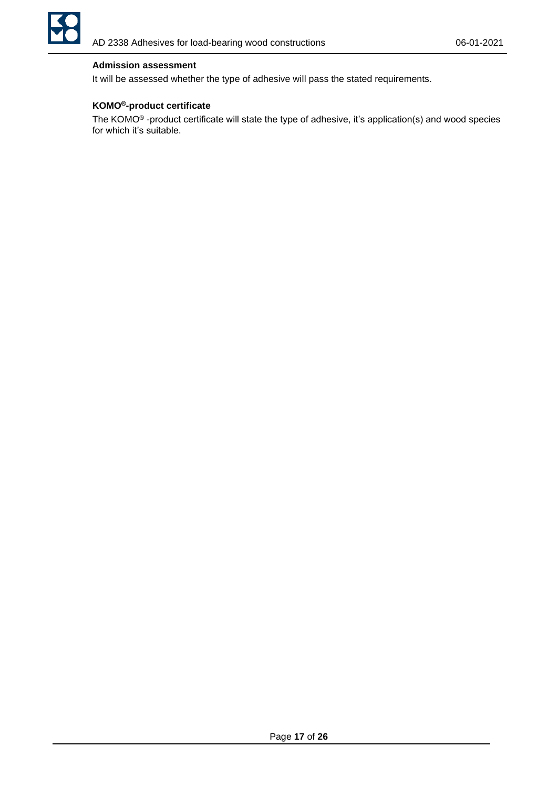

# **Admission assessment**

It will be assessed whether the type of adhesive will pass the stated requirements.

# **KOMO®-product certificate**

The KOMO® -product certificate will state the type of adhesive, it's application(s) and wood species for which it's suitable.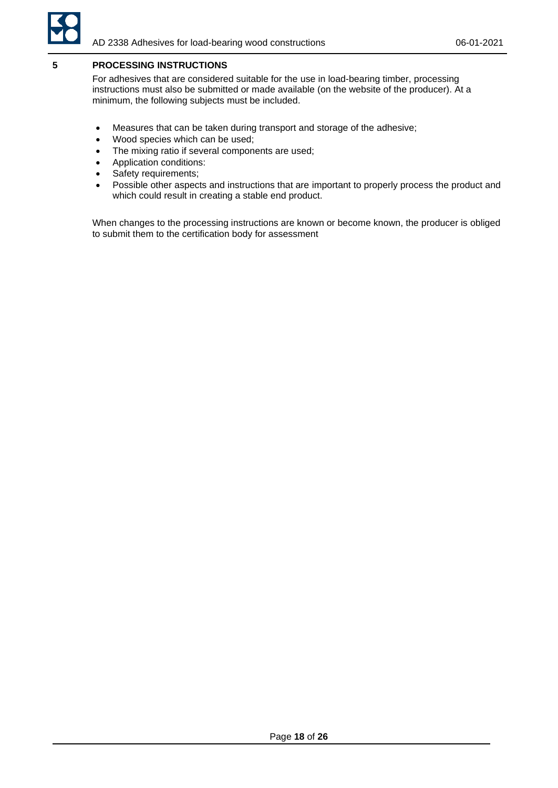

# <span id="page-17-0"></span>**5 PROCESSING INSTRUCTIONS**

For adhesives that are considered suitable for the use in load-bearing timber, processing instructions must also be submitted or made available (on the website of the producer). At a minimum, the following subjects must be included.

- Measures that can be taken during transport and storage of the adhesive;
- Wood species which can be used;
- The mixing ratio if several components are used;
- Application conditions:
- Safety requirements;
- Possible other aspects and instructions that are important to properly process the product and which could result in creating a stable end product.

When changes to the processing instructions are known or become known, the producer is obliged to submit them to the certification body for assessment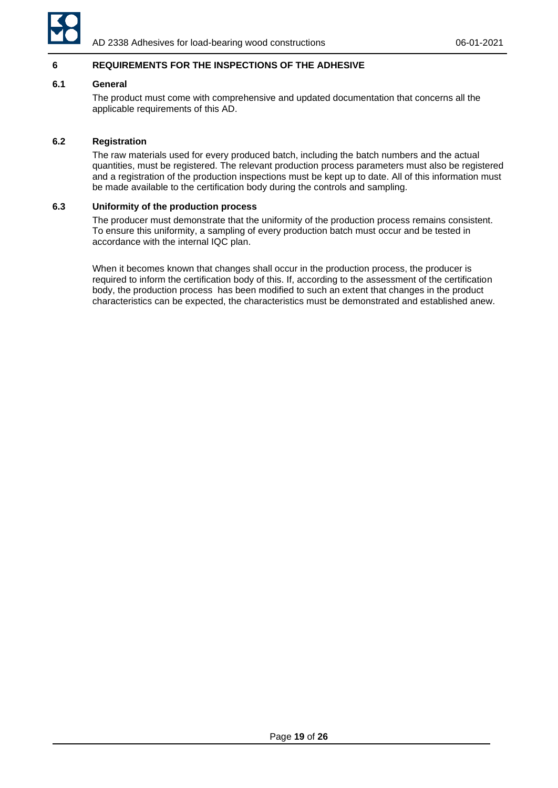

# <span id="page-18-0"></span>**6 REQUIREMENTS FOR THE INSPECTIONS OF THE ADHESIVE**

### <span id="page-18-1"></span>**6.1 General**

The product must come with comprehensive and updated documentation that concerns all the applicable requirements of this AD.

# <span id="page-18-2"></span>**6.2 Registration**

The raw materials used for every produced batch, including the batch numbers and the actual quantities, must be registered. The relevant production process parameters must also be registered and a registration of the production inspections must be kept up to date. All of this information must be made available to the certification body during the controls and sampling.

#### <span id="page-18-3"></span>**6.3 Uniformity of the production process**

The producer must demonstrate that the uniformity of the production process remains consistent. To ensure this uniformity, a sampling of every production batch must occur and be tested in accordance with the internal IQC plan.

When it becomes known that changes shall occur in the production process, the producer is required to inform the certification body of this. If, according to the assessment of the certification body, the production process has been modified to such an extent that changes in the product characteristics can be expected, the characteristics must be demonstrated and established anew.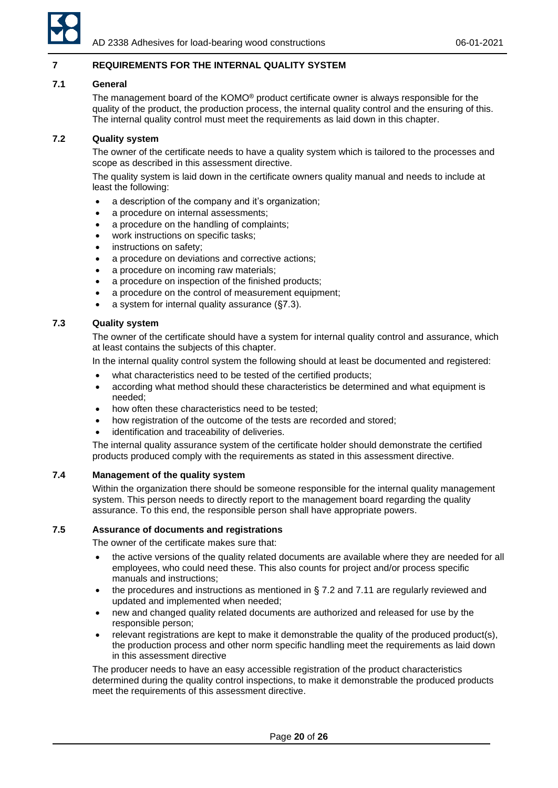

# <span id="page-19-0"></span>**7 REQUIREMENTS FOR THE INTERNAL QUALITY SYSTEM**

### <span id="page-19-1"></span>**7.1 General**

The management board of the KOMO® product certificate owner is always responsible for the quality of the product, the production process, the internal quality control and the ensuring of this. The internal quality control must meet the requirements as laid down in this chapter.

# <span id="page-19-2"></span>**7.2 Quality system**

The owner of the certificate needs to have a quality system which is tailored to the processes and scope as described in this assessment directive.

The quality system is laid down in the certificate owners quality manual and needs to include at least the following:

- a description of the company and it's organization;
- a procedure on internal assessments;
- a procedure on the handling of complaints;
- work instructions on specific tasks;
- instructions on safety:
- a procedure on deviations and corrective actions;
- a procedure on incoming raw materials;
- a procedure on inspection of the finished products;
- a procedure on the control of measurement equipment;
- a system for internal quality assurance  $(S7.3)$ .

# <span id="page-19-3"></span>**7.3 Quality system**

The owner of the certificate should have a system for internal quality control and assurance, which at least contains the subjects of this chapter.

In the internal quality control system the following should at least be documented and registered:

- what characteristics need to be tested of the certified products;
- according what method should these characteristics be determined and what equipment is needed;
- how often these characteristics need to be tested;
- how registration of the outcome of the tests are recorded and stored;
- identification and traceability of deliveries.

The internal quality assurance system of the certificate holder should demonstrate the certified products produced comply with the requirements as stated in this assessment directive.

# <span id="page-19-4"></span>**7.4 Management of the quality system**

Within the organization there should be someone responsible for the internal quality management system. This person needs to directly report to the management board regarding the quality assurance. To this end, the responsible person shall have appropriate powers.

# <span id="page-19-5"></span>**7.5 Assurance of documents and registrations**

The owner of the certificate makes sure that:

- the active versions of the quality related documents are available where they are needed for all employees, who could need these. This also counts for project and/or process specific manuals and instructions;
- the procedures and instructions as mentioned in § 7.2 and 7.11 are regularly reviewed and updated and implemented when needed;
- new and changed quality related documents are authorized and released for use by the responsible person;
- relevant registrations are kept to make it demonstrable the quality of the produced product(s), the production process and other norm specific handling meet the requirements as laid down in this assessment directive

The producer needs to have an easy accessible registration of the product characteristics determined during the quality control inspections, to make it demonstrable the produced products meet the requirements of this assessment directive.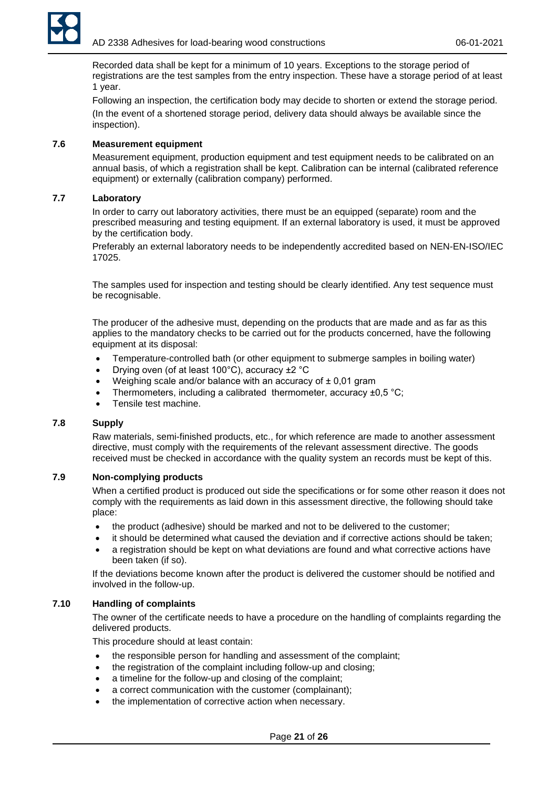

Recorded data shall be kept for a minimum of 10 years. Exceptions to the storage period of registrations are the test samples from the entry inspection. These have a storage period of at least 1 year.

Following an inspection, the certification body may decide to shorten or extend the storage period. (In the event of a shortened storage period, delivery data should always be available since the inspection).

# <span id="page-20-0"></span>**7.6 Measurement equipment**

Measurement equipment, production equipment and test equipment needs to be calibrated on an annual basis, of which a registration shall be kept. Calibration can be internal (calibrated reference equipment) or externally (calibration company) performed.

### <span id="page-20-1"></span>**7.7 Laboratory**

In order to carry out laboratory activities, there must be an equipped (separate) room and the prescribed measuring and testing equipment. If an external laboratory is used, it must be approved by the certification body.

Preferably an external laboratory needs to be independently accredited based on NEN-EN-ISO/IEC 17025.

The samples used for inspection and testing should be clearly identified. Any test sequence must be recognisable.

The producer of the adhesive must, depending on the products that are made and as far as this applies to the mandatory checks to be carried out for the products concerned, have the following equipment at its disposal:

- Temperature-controlled bath (or other equipment to submerge samples in boiling water)
- Drying oven (of at least 100°C), accuracy ±2 °C
- Weighing scale and/or balance with an accuracy of  $\pm$  0,01 gram
- Thermometers, including a calibrated thermometer, accuracy  $\pm 0.5$  °C;
- Tensile test machine.

#### <span id="page-20-2"></span>**7.8 Supply**

Raw materials, semi-finished products, etc., for which reference are made to another assessment directive, must comply with the requirements of the relevant assessment directive. The goods received must be checked in accordance with the quality system an records must be kept of this.

# <span id="page-20-3"></span>**7.9 Non-complying products**

When a certified product is produced out side the specifications or for some other reason it does not comply with the requirements as laid down in this assessment directive, the following should take place:

- the product (adhesive) should be marked and not to be delivered to the customer;
- it should be determined what caused the deviation and if corrective actions should be taken;
- a registration should be kept on what deviations are found and what corrective actions have been taken (if so).

If the deviations become known after the product is delivered the customer should be notified and involved in the follow-up.

# <span id="page-20-4"></span>**7.10 Handling of complaints**

The owner of the certificate needs to have a procedure on the handling of complaints regarding the delivered products.

This procedure should at least contain:

- the responsible person for handling and assessment of the complaint;
- the registration of the complaint including follow-up and closing;
- a timeline for the follow-up and closing of the complaint;
- a correct communication with the customer (complainant);
- the implementation of corrective action when necessary.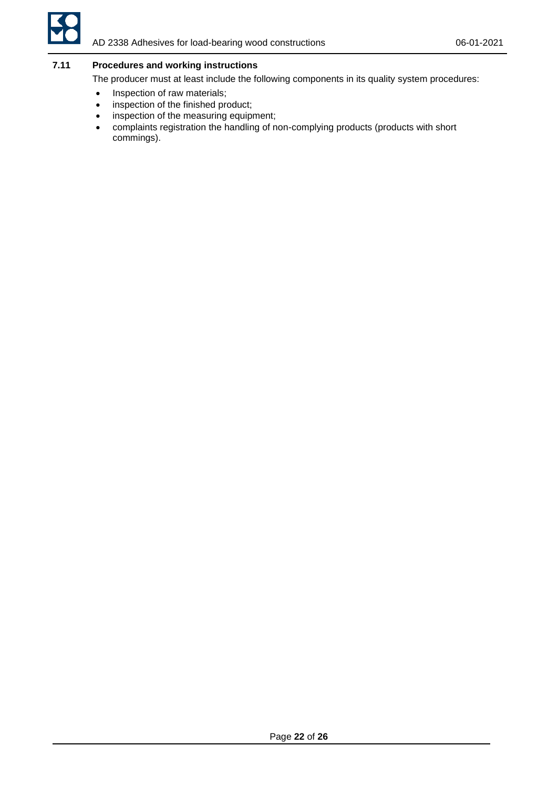

# <span id="page-21-0"></span>**7.11 Procedures and working instructions**

The producer must at least include the following components in its quality system procedures:

- Inspection of raw materials;
- inspection of the finished product;
- inspection of the measuring equipment;
- complaints registration the handling of non-complying products (products with short commings).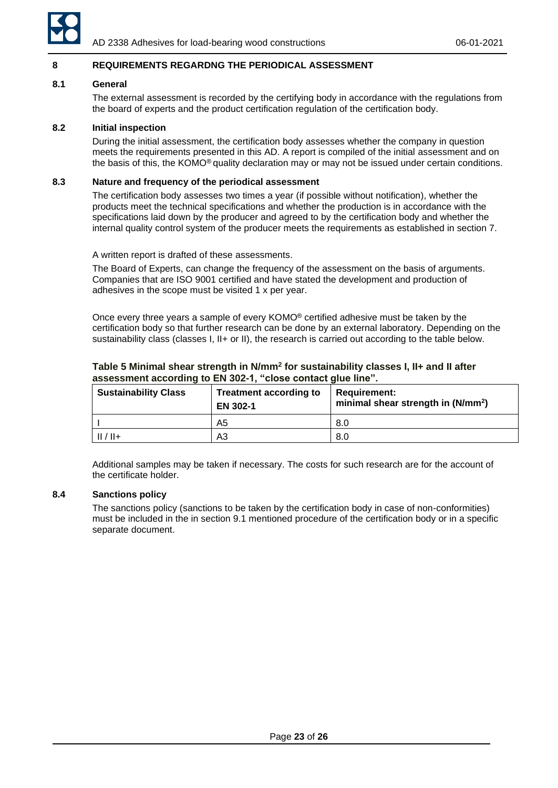

#### <span id="page-22-0"></span>**8 REQUIREMENTS REGARDNG THE PERIODICAL ASSESSMENT**

#### <span id="page-22-1"></span>**8.1 General**

The external assessment is recorded by the certifying body in accordance with the regulations from the board of experts and the product certification regulation of the certification body.

#### <span id="page-22-2"></span>**8.2 Initial inspection**

During the initial assessment, the certification body assesses whether the company in question meets the requirements presented in this AD. A report is compiled of the initial assessment and on the basis of this, the KOMO® quality declaration may or may not be issued under certain conditions.

#### <span id="page-22-3"></span>**8.3 Nature and frequency of the periodical assessment**

The certification body assesses two times a year (if possible without notification), whether the products meet the technical specifications and whether the production is in accordance with the specifications laid down by the producer and agreed to by the certification body and whether the internal quality control system of the producer meets the requirements as established in section 7.

A written report is drafted of these assessments.

The Board of Experts, can change the frequency of the assessment on the basis of arguments. Companies that are ISO 9001 certified and have stated the development and production of adhesives in the scope must be visited 1 x per year.

Once every three years a sample of every KOMO® certified adhesive must be taken by the certification body so that further research can be done by an external laboratory. Depending on the sustainability class (classes I, II+ or II), the research is carried out according to the table below.

| <b>Sustainability Class</b> | <b>Treatment according to</b><br>EN 302-1 | <b>Requirement:</b><br>minimal shear strength in (N/mm <sup>2</sup> ) |
|-----------------------------|-------------------------------------------|-----------------------------------------------------------------------|
|                             | A5                                        | 8.0                                                                   |
| $II/II+$                    | A3                                        | 8.0                                                                   |

### **Table 5 Minimal shear strength in N/mm<sup>2</sup> for sustainability classes I, II+ and II after assessment according to EN 302-1, "close contact glue line".**

Additional samples may be taken if necessary. The costs for such research are for the account of the certificate holder.

#### <span id="page-22-4"></span>**8.4 Sanctions policy**

The sanctions policy (sanctions to be taken by the certification body in case of non-conformities) must be included in the in section 9.1 mentioned procedure of the certification body or in a specific separate document.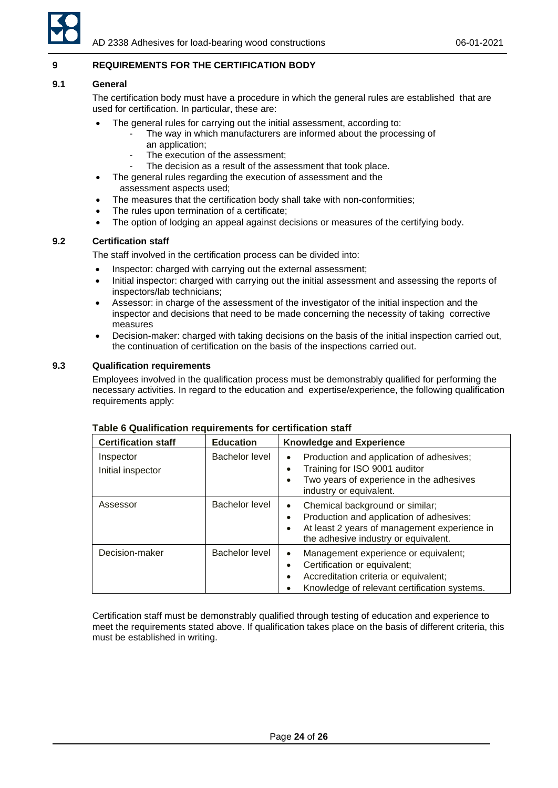

# <span id="page-23-0"></span>**9 REQUIREMENTS FOR THE CERTIFICATION BODY**

### <span id="page-23-1"></span>**9.1 General**

The certification body must have a procedure in which the general rules are established that are used for certification. In particular, these are:

- The general rules for carrying out the initial assessment, according to:
	- The way in which manufacturers are informed about the processing of an application;
	- The execution of the assessment:
	- The decision as a result of the assessment that took place.
- The general rules regarding the execution of assessment and the assessment aspects used;
- The measures that the certification body shall take with non-conformities;
- The rules upon termination of a certificate;
- The option of lodging an appeal against decisions or measures of the certifying body.

# <span id="page-23-2"></span>**9.2 Certification staff**

The staff involved in the certification process can be divided into:

- Inspector: charged with carrying out the external assessment;
- Initial inspector: charged with carrying out the initial assessment and assessing the reports of inspectors/lab technicians;
- Assessor: in charge of the assessment of the investigator of the initial inspection and the inspector and decisions that need to be made concerning the necessity of taking corrective measures
- Decision-maker: charged with taking decisions on the basis of the initial inspection carried out, the continuation of certification on the basis of the inspections carried out.

# <span id="page-23-3"></span>**9.3 Qualification requirements**

Employees involved in the qualification process must be demonstrably qualified for performing the necessary activities. In regard to the education and expertise/experience, the following qualification requirements apply:

| <b>Certification staff</b>     | <b>Education</b>      | <b>Knowledge and Experience</b>                                                                                                                                                                            |
|--------------------------------|-----------------------|------------------------------------------------------------------------------------------------------------------------------------------------------------------------------------------------------------|
| Inspector<br>Initial inspector | <b>Bachelor level</b> | Production and application of adhesives;<br>$\bullet$<br>Training for ISO 9001 auditor<br>Two years of experience in the adhesives<br>$\bullet$<br>industry or equivalent.                                 |
| Assessor                       | Bachelor level        | Chemical background or similar;<br>$\bullet$<br>Production and application of adhesives;<br>$\bullet$<br>At least 2 years of management experience in<br>$\bullet$<br>the adhesive industry or equivalent. |
| Decision-maker                 | Bachelor level        | Management experience or equivalent;<br>٠<br>Certification or equivalent;<br>Accreditation criteria or equivalent;<br>$\bullet$<br>Knowledge of relevant certification systems.                            |

#### **Table 6 Qualification requirements for certification staff**

Certification staff must be demonstrably qualified through testing of education and experience to meet the requirements stated above. If qualification takes place on the basis of different criteria, this must be established in writing.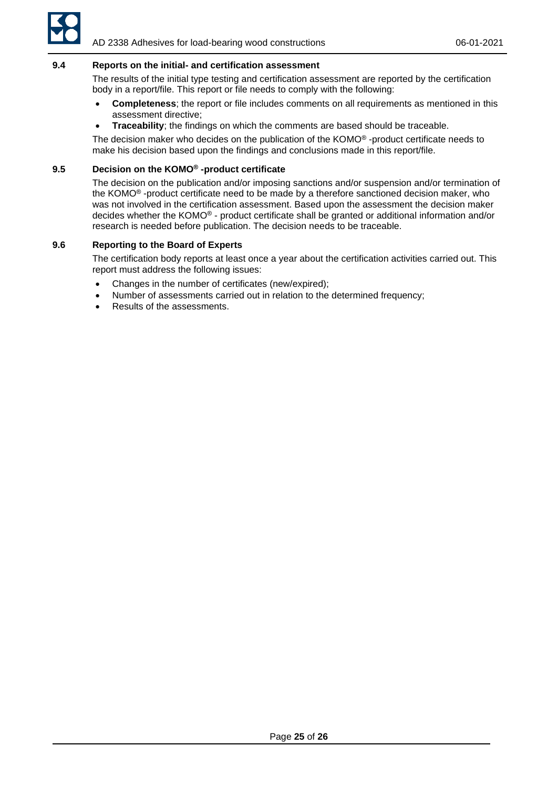

### <span id="page-24-0"></span>**9.4 Reports on the initial- and certification assessment**

The results of the initial type testing and certification assessment are reported by the certification body in a report/file. This report or file needs to comply with the following:

- **Completeness**; the report or file includes comments on all requirements as mentioned in this assessment directive;
- **Traceability**; the findings on which the comments are based should be traceable.

The decision maker who decides on the publication of the KOMO® -product certificate needs to make his decision based upon the findings and conclusions made in this report/file.

# <span id="page-24-1"></span>**9.5 Decision on the KOMO® -product certificate**

The decision on the publication and/or imposing sanctions and/or suspension and/or termination of the KOMO® -product certificate need to be made by a therefore sanctioned decision maker, who was not involved in the certification assessment. Based upon the assessment the decision maker decides whether the KOMO® - product certificate shall be granted or additional information and/or research is needed before publication. The decision needs to be traceable.

### <span id="page-24-2"></span>**9.6 Reporting to the Board of Experts**

The certification body reports at least once a year about the certification activities carried out. This report must address the following issues:

- Changes in the number of certificates (new/expired);
- Number of assessments carried out in relation to the determined frequency;
- Results of the assessments.